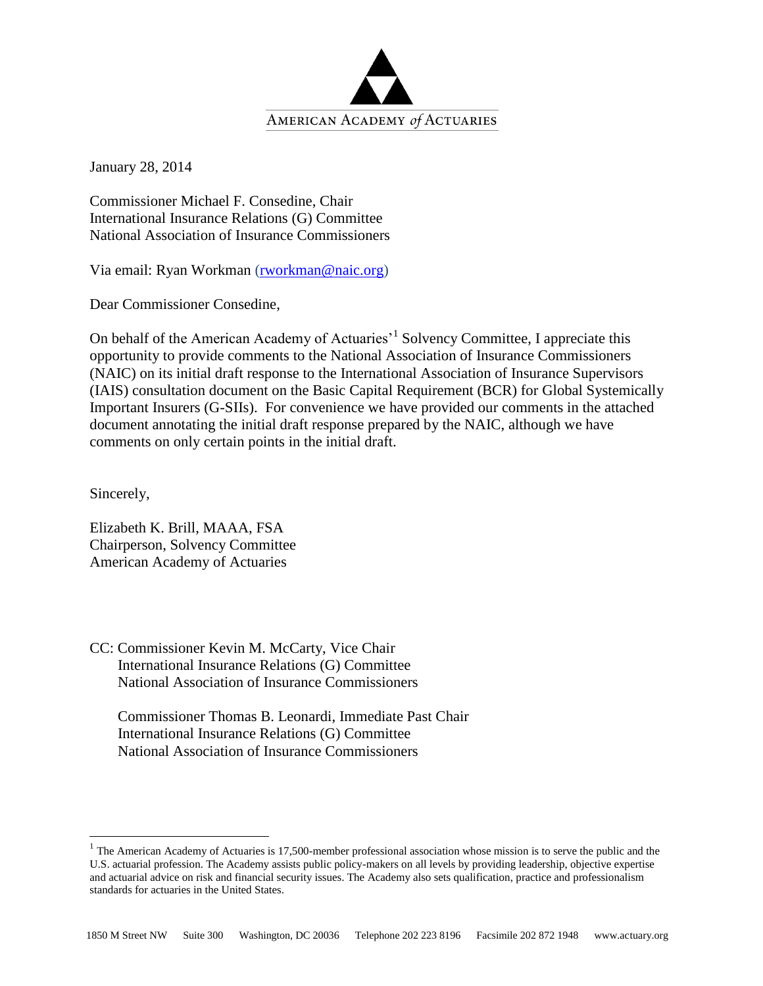

January 28, 2014

Commissioner Michael F. Consedine, Chair International Insurance Relations (G) Committee National Association of Insurance Commissioners

Via email: Ryan Workman [\(rworkman@naic.org\)](mailto:rworkman@naic.org)

Dear Commissioner Consedine,

On behalf of the American Academy of Actuaries<sup>1</sup> Solvency Committee, I appreciate this opportunity to provide comments to the National Association of Insurance Commissioners (NAIC) on its initial draft response to the International Association of Insurance Supervisors (IAIS) consultation document on the Basic Capital Requirement (BCR) for Global Systemically Important Insurers (G-SIIs). For convenience we have provided our comments in the attached document annotating the initial draft response prepared by the NAIC, although we have comments on only certain points in the initial draft.

Sincerely,

 $\overline{a}$ 

Elizabeth K. Brill, MAAA, FSA Chairperson, Solvency Committee American Academy of Actuaries

CC: Commissioner Kevin M. McCarty, Vice Chair International Insurance Relations (G) Committee National Association of Insurance Commissioners

Commissioner Thomas B. Leonardi, Immediate Past Chair International Insurance Relations (G) Committee National Association of Insurance Commissioners

 $1$  The American Academy of Actuaries is 17,500-member professional association whose mission is to serve the public and the U.S. actuarial profession. The Academy assists public policy-makers on all levels by providing leadership, objective expertise and actuarial advice on risk and financial security issues. The Academy also sets qualification, practice and professionalism standards for actuaries in the United States.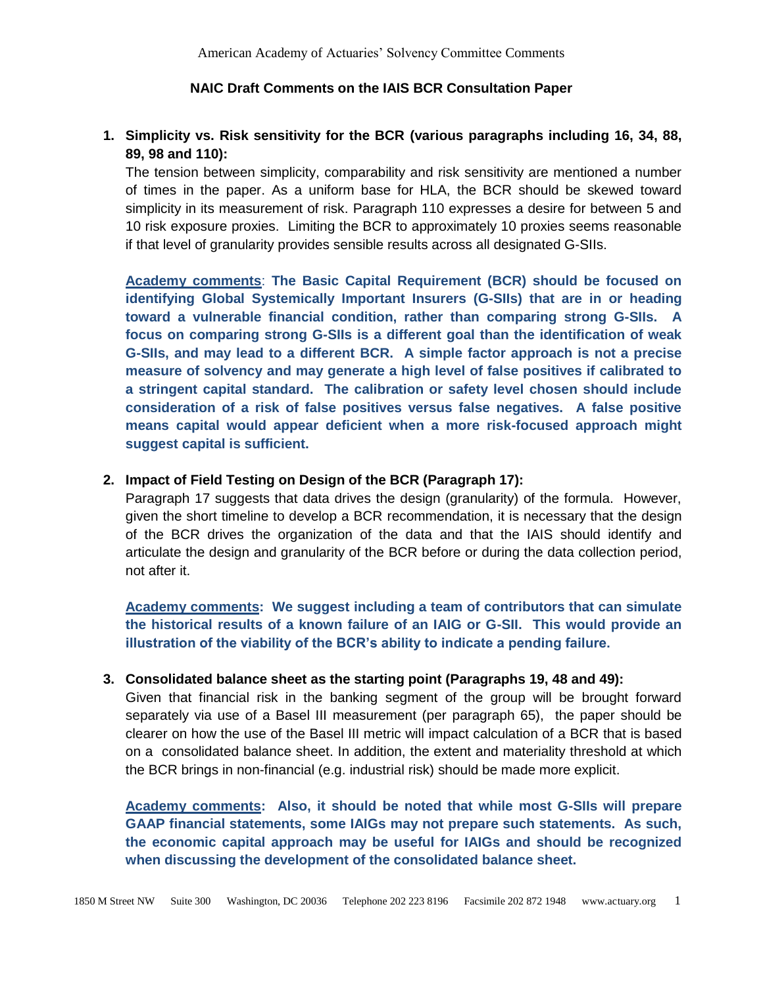### **NAIC Draft Comments on the IAIS BCR Consultation Paper**

# **1. Simplicity vs. Risk sensitivity for the BCR (various paragraphs including 16, 34, 88, 89, 98 and 110):**

The tension between simplicity, comparability and risk sensitivity are mentioned a number of times in the paper. As a uniform base for HLA, the BCR should be skewed toward simplicity in its measurement of risk. Paragraph 110 expresses a desire for between 5 and 10 risk exposure proxies. Limiting the BCR to approximately 10 proxies seems reasonable if that level of granularity provides sensible results across all designated G-SIIs.

**Academy comments**: **The Basic Capital Requirement (BCR) should be focused on identifying Global Systemically Important Insurers (G-SIIs) that are in or heading toward a vulnerable financial condition, rather than comparing strong G-SIIs. A focus on comparing strong G-SIIs is a different goal than the identification of weak G-SIIs, and may lead to a different BCR. A simple factor approach is not a precise measure of solvency and may generate a high level of false positives if calibrated to a stringent capital standard. The calibration or safety level chosen should include consideration of a risk of false positives versus false negatives. A false positive means capital would appear deficient when a more risk-focused approach might suggest capital is sufficient.**

### **2. Impact of Field Testing on Design of the BCR (Paragraph 17):**

Paragraph 17 suggests that data drives the design (granularity) of the formula. However, given the short timeline to develop a BCR recommendation, it is necessary that the design of the BCR drives the organization of the data and that the IAIS should identify and articulate the design and granularity of the BCR before or during the data collection period, not after it.

**Academy comments: We suggest including a team of contributors that can simulate the historical results of a known failure of an IAIG or G-SII. This would provide an illustration of the viability of the BCR's ability to indicate a pending failure.**

#### **3. Consolidated balance sheet as the starting point (Paragraphs 19, 48 and 49):**

Given that financial risk in the banking segment of the group will be brought forward separately via use of a Basel III measurement (per paragraph 65), the paper should be clearer on how the use of the Basel III metric will impact calculation of a BCR that is based on a consolidated balance sheet. In addition, the extent and materiality threshold at which the BCR brings in non-financial (e.g. industrial risk) should be made more explicit.

**Academy comments: Also, it should be noted that while most G-SIIs will prepare GAAP financial statements, some IAIGs may not prepare such statements. As such, the economic capital approach may be useful for IAIGs and should be recognized when discussing the development of the consolidated balance sheet.**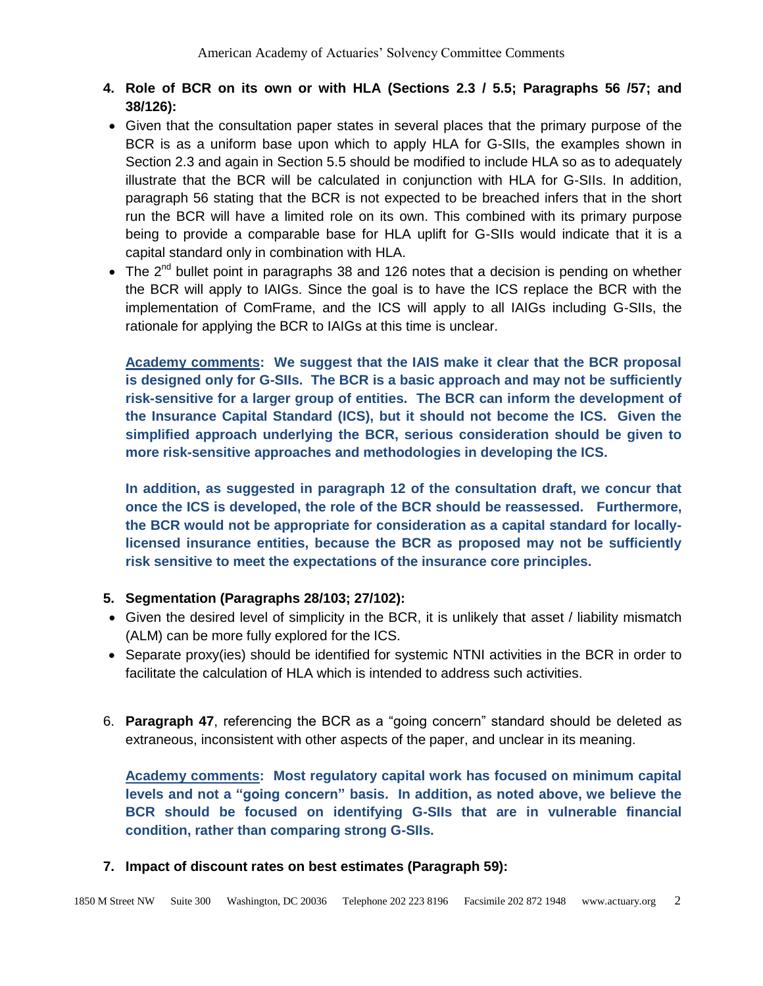- **4. Role of BCR on its own or with HLA (Sections 2.3 / 5.5; Paragraphs 56 /57; and 38/126):**
- Given that the consultation paper states in several places that the primary purpose of the BCR is as a uniform base upon which to apply HLA for G-SIIs, the examples shown in Section 2.3 and again in Section 5.5 should be modified to include HLA so as to adequately illustrate that the BCR will be calculated in conjunction with HLA for G-SIIs. In addition, paragraph 56 stating that the BCR is not expected to be breached infers that in the short run the BCR will have a limited role on its own. This combined with its primary purpose being to provide a comparable base for HLA uplift for G-SIIs would indicate that it is a capital standard only in combination with HLA.
- The  $2^{nd}$  bullet point in paragraphs 38 and 126 notes that a decision is pending on whether the BCR will apply to IAIGs. Since the goal is to have the ICS replace the BCR with the implementation of ComFrame, and the ICS will apply to all IAIGs including G-SIIs, the rationale for applying the BCR to IAIGs at this time is unclear.

**Academy comments: We suggest that the IAIS make it clear that the BCR proposal is designed only for G-SIIs. The BCR is a basic approach and may not be sufficiently risk-sensitive for a larger group of entities. The BCR can inform the development of the Insurance Capital Standard (ICS), but it should not become the ICS. Given the simplified approach underlying the BCR, serious consideration should be given to more risk-sensitive approaches and methodologies in developing the ICS.** 

**In addition, as suggested in paragraph 12 of the consultation draft, we concur that once the ICS is developed, the role of the BCR should be reassessed. Furthermore, the BCR would not be appropriate for consideration as a capital standard for locallylicensed insurance entities, because the BCR as proposed may not be sufficiently risk sensitive to meet the expectations of the insurance core principles.**

# **5. Segmentation (Paragraphs 28/103; 27/102):**

- Given the desired level of simplicity in the BCR, it is unlikely that asset / liability mismatch (ALM) can be more fully explored for the ICS.
- Separate proxy(ies) should be identified for systemic NTNI activities in the BCR in order to facilitate the calculation of HLA which is intended to address such activities.
- 6. **Paragraph 47**, referencing the BCR as a "going concern" standard should be deleted as extraneous, inconsistent with other aspects of the paper, and unclear in its meaning.

**Academy comments: Most regulatory capital work has focused on minimum capital levels and not a "going concern" basis. In addition, as noted above, we believe the BCR should be focused on identifying G-SIIs that are in vulnerable financial condition, rather than comparing strong G-SIIs.**

## **7. Impact of discount rates on best estimates (Paragraph 59):**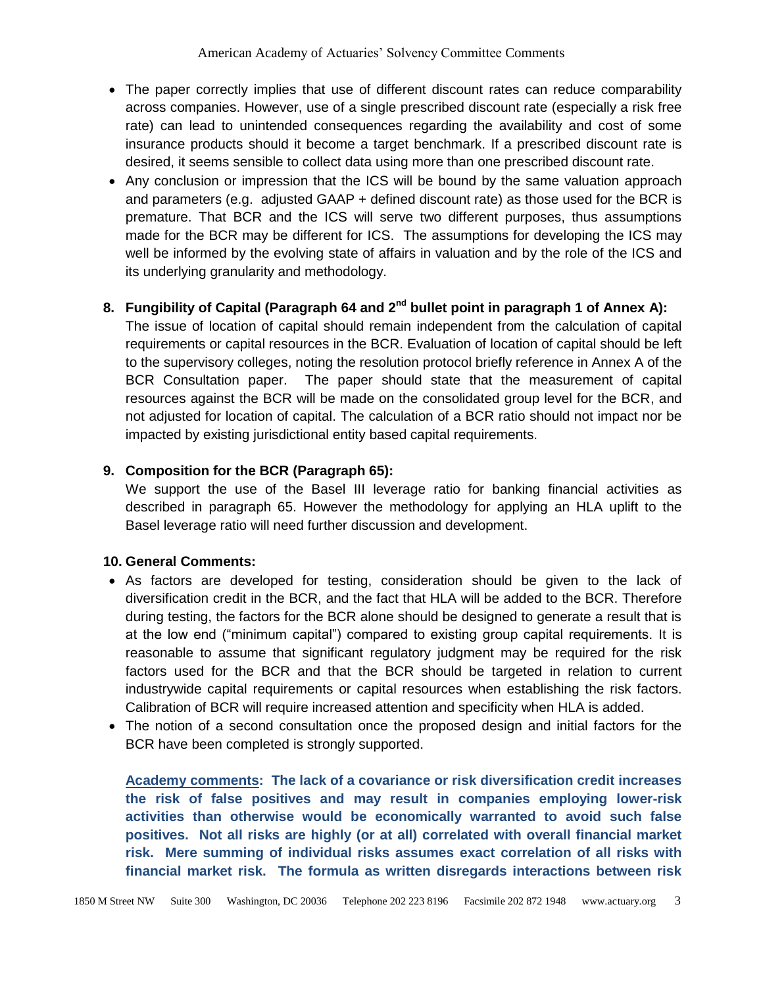- The paper correctly implies that use of different discount rates can reduce comparability across companies. However, use of a single prescribed discount rate (especially a risk free rate) can lead to unintended consequences regarding the availability and cost of some insurance products should it become a target benchmark. If a prescribed discount rate is desired, it seems sensible to collect data using more than one prescribed discount rate.
- Any conclusion or impression that the ICS will be bound by the same valuation approach and parameters (e.g. adjusted GAAP + defined discount rate) as those used for the BCR is premature. That BCR and the ICS will serve two different purposes, thus assumptions made for the BCR may be different for ICS. The assumptions for developing the ICS may well be informed by the evolving state of affairs in valuation and by the role of the ICS and its underlying granularity and methodology.

## **8. Fungibility of Capital (Paragraph 64 and 2nd bullet point in paragraph 1 of Annex A):**

The issue of location of capital should remain independent from the calculation of capital requirements or capital resources in the BCR. Evaluation of location of capital should be left to the supervisory colleges, noting the resolution protocol briefly reference in Annex A of the BCR Consultation paper. The paper should state that the measurement of capital resources against the BCR will be made on the consolidated group level for the BCR, and not adjusted for location of capital. The calculation of a BCR ratio should not impact nor be impacted by existing jurisdictional entity based capital requirements.

# **9. Composition for the BCR (Paragraph 65):**

We support the use of the Basel III leverage ratio for banking financial activities as described in paragraph 65. However the methodology for applying an HLA uplift to the Basel leverage ratio will need further discussion and development.

## **10. General Comments:**

- As factors are developed for testing, consideration should be given to the lack of diversification credit in the BCR, and the fact that HLA will be added to the BCR. Therefore during testing, the factors for the BCR alone should be designed to generate a result that is at the low end ("minimum capital") compared to existing group capital requirements. It is reasonable to assume that significant regulatory judgment may be required for the risk factors used for the BCR and that the BCR should be targeted in relation to current industrywide capital requirements or capital resources when establishing the risk factors. Calibration of BCR will require increased attention and specificity when HLA is added.
- The notion of a second consultation once the proposed design and initial factors for the BCR have been completed is strongly supported.

**Academy comments: The lack of a covariance or risk diversification credit increases the risk of false positives and may result in companies employing lower-risk activities than otherwise would be economically warranted to avoid such false positives. Not all risks are highly (or at all) correlated with overall financial market risk. Mere summing of individual risks assumes exact correlation of all risks with financial market risk. The formula as written disregards interactions between risk**